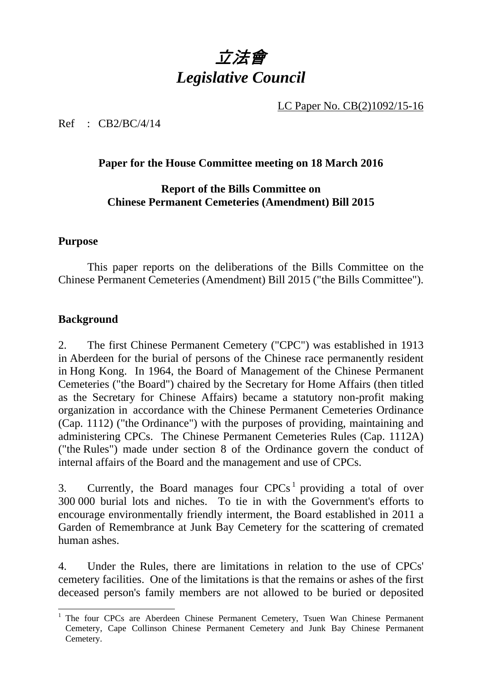# 立法會 *Legislative Council*

LC Paper No. CB(2)1092/15-16

Ref : CB2/BC/4/14

#### **Paper for the House Committee meeting on 18 March 2016**

#### **Report of the Bills Committee on Chinese Permanent Cemeteries (Amendment) Bill 2015**

#### **Purpose**

1. This paper reports on the deliberations of the Bills Committee on the Chinese Permanent Cemeteries (Amendment) Bill 2015 ("the Bills Committee").

#### **Background**

2. The first Chinese Permanent Cemetery ("CPC") was established in 1913 in Aberdeen for the burial of persons of the Chinese race permanently resident in Hong Kong. In 1964, the Board of Management of the Chinese Permanent Cemeteries ("the Board") chaired by the Secretary for Home Affairs (then titled as the Secretary for Chinese Affairs) became a statutory non-profit making organization in accordance with the Chinese Permanent Cemeteries Ordinance (Cap. 1112) ("the Ordinance") with the purposes of providing, maintaining and administering CPCs. The Chinese Permanent Cemeteries Rules (Cap. 1112A) ("the Rules") made under section 8 of the Ordinance govern the conduct of internal affairs of the Board and the management and use of CPCs.

3. Currently, the Board manages four  $CPCs<sup>1</sup>$  providing a total of over 300 000 burial lots and niches. To tie in with the Government's efforts to encourage environmentally friendly interment, the Board established in 2011 a Garden of Remembrance at Junk Bay Cemetery for the scattering of cremated human ashes.

4. Under the Rules, there are limitations in relation to the use of CPCs' cemetery facilities. One of the limitations is that the remains or ashes of the first deceased person's family members are not allowed to be buried or deposited

<sup>-</sup><sup>1</sup> The four CPCs are Aberdeen Chinese Permanent Cemetery, Tsuen Wan Chinese Permanent Cemetery, Cape Collinson Chinese Permanent Cemetery and Junk Bay Chinese Permanent Cemetery.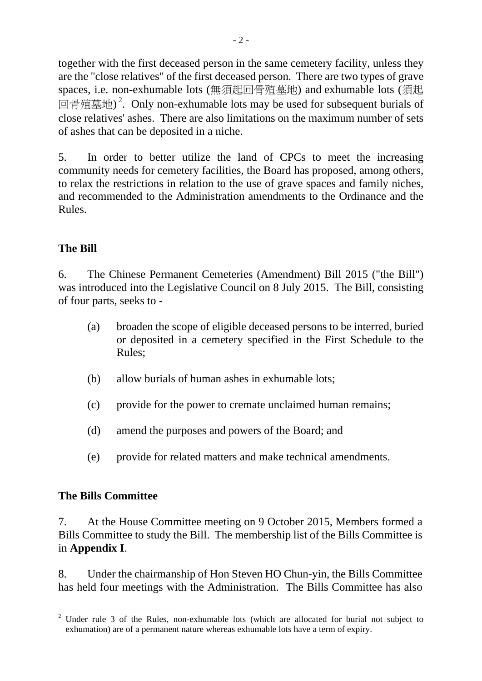together with the first deceased person in the same cemetery facility, unless they are the "close relatives" of the first deceased person. There are two types of grave spaces, i.e. non-exhumable lots (無須起回骨殖墓地) and exhumable lots (須起 回骨殖墓地)<sup>2</sup>. Only non-exhumable lots may be used for subsequent burials of close relatives' ashes. There are also limitations on the maximum number of sets of ashes that can be deposited in a niche.

5. In order to better utilize the land of CPCs to meet the increasing community needs for cemetery facilities, the Board has proposed, among others, to relax the restrictions in relation to the use of grave spaces and family niches, and recommended to the Administration amendments to the Ordinance and the Rules.

#### **The Bill**

6. The Chinese Permanent Cemeteries (Amendment) Bill 2015 ("the Bill") was introduced into the Legislative Council on 8 July 2015. The Bill, consisting of four parts, seeks to -

- (a) broaden the scope of eligible deceased persons to be interred, buried or deposited in a cemetery specified in the First Schedule to the Rules;
- (b) allow burials of human ashes in exhumable lots;
- (c) provide for the power to cremate unclaimed human remains;
- (d) amend the purposes and powers of the Board; and
- (e) provide for related matters and make technical amendments.

#### **The Bills Committee**

7. At the House Committee meeting on 9 October 2015, Members formed a Bills Committee to study the Bill. The membership list of the Bills Committee is in **Appendix I**.

8. Under the chairmanship of Hon Steven HO Chun-yin, the Bills Committee has held four meetings with the Administration. The Bills Committee has also

<sup>-</sup><sup>2</sup> Under rule 3 of the Rules, non-exhumable lots (which are allocated for burial not subject to exhumation) are of a permanent nature whereas exhumable lots have a term of expiry.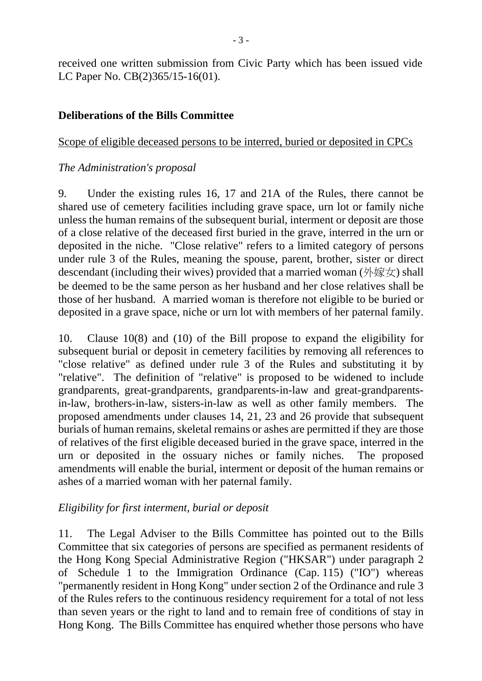received one written submission from Civic Party which has been issued vide LC Paper No. CB(2)365/15-16(01).

#### **Deliberations of the Bills Committee**

#### Scope of eligible deceased persons to be interred, buried or deposited in CPCs

#### *The Administration's proposal*

9. Under the existing rules 16, 17 and 21A of the Rules, there cannot be shared use of cemetery facilities including grave space, urn lot or family niche unless the human remains of the subsequent burial, interment or deposit are those of a close relative of the deceased first buried in the grave, interred in the urn or deposited in the niche. "Close relative" refers to a limited category of persons under rule 3 of the Rules, meaning the spouse, parent, brother, sister or direct descendant (including their wives) provided that a married woman (外嫁女) shall be deemed to be the same person as her husband and her close relatives shall be those of her husband. A married woman is therefore not eligible to be buried or deposited in a grave space, niche or urn lot with members of her paternal family.

10. Clause 10(8) and (10) of the Bill propose to expand the eligibility for subsequent burial or deposit in cemetery facilities by removing all references to "close relative" as defined under rule 3 of the Rules and substituting it by "relative". The definition of "relative" is proposed to be widened to include grandparents, great-grandparents, grandparents-in-law and great-grandparentsin-law, brothers-in-law, sisters-in-law as well as other family members. The proposed amendments under clauses 14, 21, 23 and 26 provide that subsequent burials of human remains, skeletal remains or ashes are permitted if they are those of relatives of the first eligible deceased buried in the grave space, interred in the urn or deposited in the ossuary niches or family niches. The proposed amendments will enable the burial, interment or deposit of the human remains or ashes of a married woman with her paternal family.

#### *Eligibility for first interment, burial or deposit*

11. The Legal Adviser to the Bills Committee has pointed out to the Bills Committee that six categories of persons are specified as permanent residents of the Hong Kong Special Administrative Region ("HKSAR") under paragraph 2 of Schedule 1 to the Immigration Ordinance (Cap. 115) ("IO") whereas "permanently resident in Hong Kong" under section 2 of the Ordinance and rule 3 of the Rules refers to the continuous residency requirement for a total of not less than seven years or the right to land and to remain free of conditions of stay in Hong Kong. The Bills Committee has enquired whether those persons who have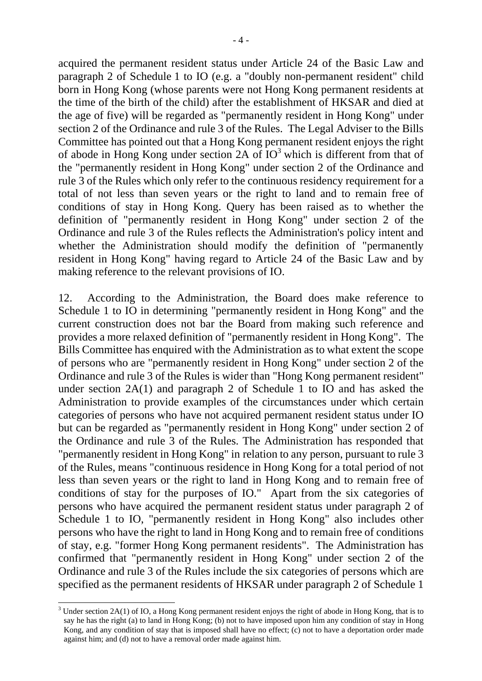acquired the permanent resident status under Article 24 of the Basic Law and paragraph 2 of Schedule 1 to IO (e.g. a "doubly non-permanent resident" child born in Hong Kong (whose parents were not Hong Kong permanent residents at the time of the birth of the child) after the establishment of HKSAR and died at the age of five) will be regarded as "permanently resident in Hong Kong" under section 2 of the Ordinance and rule 3 of the Rules. The Legal Adviser to the Bills Committee has pointed out that a Hong Kong permanent resident enjoys the right of abode in Hong Kong under section  $2A$  of  $IO<sup>3</sup>$  which is different from that of the "permanently resident in Hong Kong" under section 2 of the Ordinance and rule 3 of the Rules which only refer to the continuous residency requirement for a total of not less than seven years or the right to land and to remain free of conditions of stay in Hong Kong. Query has been raised as to whether the definition of "permanently resident in Hong Kong" under section 2 of the Ordinance and rule 3 of the Rules reflects the Administration's policy intent and whether the Administration should modify the definition of "permanently resident in Hong Kong" having regard to Article 24 of the Basic Law and by making reference to the relevant provisions of IO.

12. According to the Administration, the Board does make reference to Schedule 1 to IO in determining "permanently resident in Hong Kong" and the current construction does not bar the Board from making such reference and provides a more relaxed definition of "permanently resident in Hong Kong". The Bills Committee has enquired with the Administration as to what extent the scope of persons who are "permanently resident in Hong Kong" under section 2 of the Ordinance and rule 3 of the Rules is wider than "Hong Kong permanent resident" under section 2A(1) and paragraph 2 of Schedule 1 to IO and has asked the Administration to provide examples of the circumstances under which certain categories of persons who have not acquired permanent resident status under IO but can be regarded as "permanently resident in Hong Kong" under section 2 of the Ordinance and rule 3 of the Rules. The Administration has responded that "permanently resident in Hong Kong" in relation to any person, pursuant to rule 3 of the Rules, means "continuous residence in Hong Kong for a total period of not less than seven years or the right to land in Hong Kong and to remain free of conditions of stay for the purposes of IO." Apart from the six categories of persons who have acquired the permanent resident status under paragraph 2 of Schedule 1 to IO, "permanently resident in Hong Kong" also includes other persons who have the right to land in Hong Kong and to remain free of conditions of stay, e.g. "former Hong Kong permanent residents". The Administration has confirmed that "permanently resident in Hong Kong" under section 2 of the Ordinance and rule 3 of the Rules include the six categories of persons which are specified as the permanent residents of HKSAR under paragraph 2 of Schedule 1

-

 $3$  Under section 2A(1) of IO, a Hong Kong permanent resident enjoys the right of abode in Hong Kong, that is to say he has the right (a) to land in Hong Kong; (b) not to have imposed upon him any condition of stay in Hong Kong, and any condition of stay that is imposed shall have no effect; (c) not to have a deportation order made against him; and (d) not to have a removal order made against him.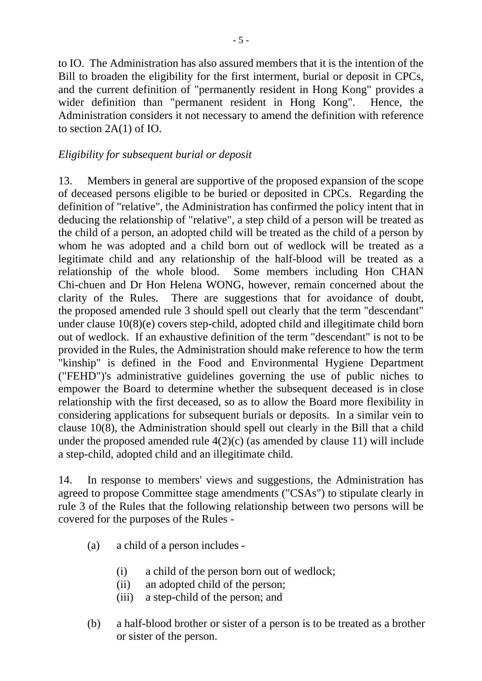to IO. The Administration has also assured members that it is the intention of the Bill to broaden the eligibility for the first interment, burial or deposit in CPCs, and the current definition of "permanently resident in Hong Kong" provides a wider definition than "permanent resident in Hong Kong". Hence, the Administration considers it not necessary to amend the definition with reference to section 2A(1) of IO.

#### *Eligibility for subsequent burial or deposit*

13. Members in general are supportive of the proposed expansion of the scope of deceased persons eligible to be buried or deposited in CPCs. Regarding the definition of "relative", the Administration has confirmed the policy intent that in deducing the relationship of "relative", a step child of a person will be treated as the child of a person, an adopted child will be treated as the child of a person by whom he was adopted and a child born out of wedlock will be treated as a legitimate child and any relationship of the half-blood will be treated as a relationship of the whole blood. Some members including Hon CHAN Chi-chuen and Dr Hon Helena WONG, however, remain concerned about the clarity of the Rules. There are suggestions that for avoidance of doubt, the proposed amended rule 3 should spell out clearly that the term "descendant" under clause 10(8)(e) covers step-child, adopted child and illegitimate child born out of wedlock. If an exhaustive definition of the term "descendant" is not to be provided in the Rules, the Administration should make reference to how the term "kinship" is defined in the Food and Environmental Hygiene Department ("FEHD")'s administrative guidelines governing the use of public niches to empower the Board to determine whether the subsequent deceased is in close relationship with the first deceased, so as to allow the Board more flexibility in considering applications for subsequent burials or deposits. In a similar vein to clause 10(8), the Administration should spell out clearly in the Bill that a child under the proposed amended rule  $4(2)(c)$  (as amended by clause 11) will include a step-child, adopted child and an illegitimate child.

14. In response to members' views and suggestions, the Administration has agreed to propose Committee stage amendments ("CSAs") to stipulate clearly in rule 3 of the Rules that the following relationship between two persons will be covered for the purposes of the Rules -

- (a) a child of a person includes
	- (i) a child of the person born out of wedlock;
	- (ii) an adopted child of the person;
	- (iii) a step-child of the person; and
- (b) a half-blood brother or sister of a person is to be treated as a brother or sister of the person.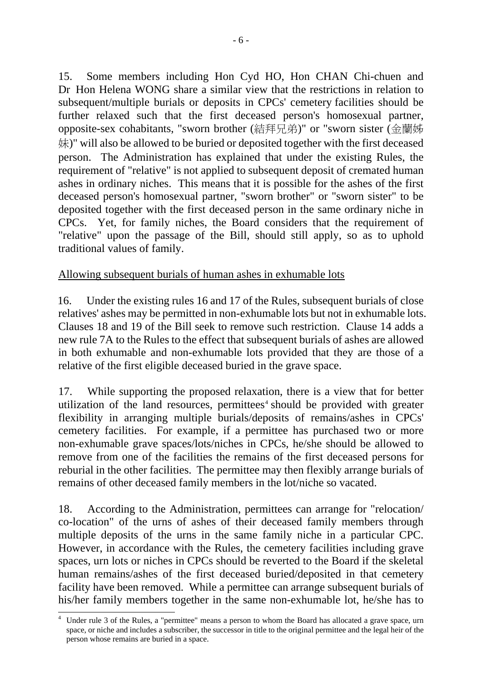15. Some members including Hon Cyd HO, Hon CHAN Chi-chuen and Dr Hon Helena WONG share a similar view that the restrictions in relation to subsequent/multiple burials or deposits in CPCs' cemetery facilities should be further relaxed such that the first deceased person's homosexual partner, opposite-sex cohabitants, "sworn brother (結拜兄弟)" or "sworn sister (金蘭姊 妹)" will also be allowed to be buried or deposited together with the first deceased person. The Administration has explained that under the existing Rules, the requirement of "relative" is not applied to subsequent deposit of cremated human ashes in ordinary niches. This means that it is possible for the ashes of the first deceased person's homosexual partner, "sworn brother" or "sworn sister" to be deposited together with the first deceased person in the same ordinary niche in CPCs. Yet, for family niches, the Board considers that the requirement of "relative" upon the passage of the Bill, should still apply, so as to uphold traditional values of family.

#### Allowing subsequent burials of human ashes in exhumable lots

16. Under the existing rules 16 and 17 of the Rules, subsequent burials of close relatives' ashes may be permitted in non-exhumable lots but not in exhumable lots. Clauses 18 and 19 of the Bill seek to remove such restriction. Clause 14 adds a new rule 7A to the Rules to the effect that subsequent burials of ashes are allowed in both exhumable and non-exhumable lots provided that they are those of a relative of the first eligible deceased buried in the grave space.

17. While supporting the proposed relaxation, there is a view that for better utilization of the land resources, permittees<sup> $4$ </sup> should be provided with greater flexibility in arranging multiple burials/deposits of remains/ashes in CPCs' cemetery facilities. For example, if a permittee has purchased two or more non-exhumable grave spaces/lots/niches in CPCs, he/she should be allowed to remove from one of the facilities the remains of the first deceased persons for reburial in the other facilities. The permittee may then flexibly arrange burials of remains of other deceased family members in the lot/niche so vacated.

18. According to the Administration, permittees can arrange for "relocation/ co-location" of the urns of ashes of their deceased family members through multiple deposits of the urns in the same family niche in a particular CPC. However, in accordance with the Rules, the cemetery facilities including grave spaces, urn lots or niches in CPCs should be reverted to the Board if the skeletal human remains/ashes of the first deceased buried/deposited in that cemetery facility have been removed. While a permittee can arrange subsequent burials of his/her family members together in the same non-exhumable lot, he/she has to

<sup>4</sup> Under rule 3 of the Rules, a "permittee" means a person to whom the Board has allocated a grave space, urn space, or niche and includes a subscriber, the successor in title to the original permittee and the legal heir of the person whose remains are buried in a space.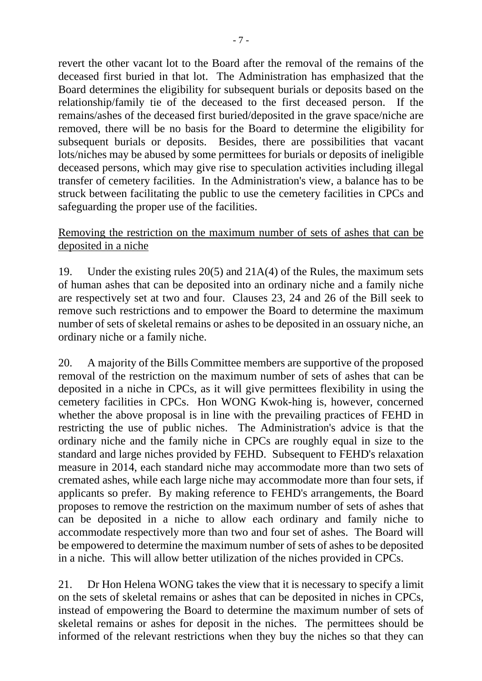revert the other vacant lot to the Board after the removal of the remains of the deceased first buried in that lot. The Administration has emphasized that the Board determines the eligibility for subsequent burials or deposits based on the relationship/family tie of the deceased to the first deceased person. If the remains/ashes of the deceased first buried/deposited in the grave space/niche are removed, there will be no basis for the Board to determine the eligibility for subsequent burials or deposits. Besides, there are possibilities that vacant lots/niches may be abused by some permittees for burials or deposits of ineligible deceased persons, which may give rise to speculation activities including illegal transfer of cemetery facilities. In the Administration's view, a balance has to be struck between facilitating the public to use the cemetery facilities in CPCs and safeguarding the proper use of the facilities.

#### Removing the restriction on the maximum number of sets of ashes that can be deposited in a niche

19. Under the existing rules 20(5) and 21A(4) of the Rules, the maximum sets of human ashes that can be deposited into an ordinary niche and a family niche are respectively set at two and four. Clauses 23, 24 and 26 of the Bill seek to remove such restrictions and to empower the Board to determine the maximum number of sets of skeletal remains or ashes to be deposited in an ossuary niche, an ordinary niche or a family niche.

20. A majority of the Bills Committee members are supportive of the proposed removal of the restriction on the maximum number of sets of ashes that can be deposited in a niche in CPCs, as it will give permittees flexibility in using the cemetery facilities in CPCs. Hon WONG Kwok-hing is, however, concerned whether the above proposal is in line with the prevailing practices of FEHD in restricting the use of public niches. The Administration's advice is that the ordinary niche and the family niche in CPCs are roughly equal in size to the standard and large niches provided by FEHD. Subsequent to FEHD's relaxation measure in 2014, each standard niche may accommodate more than two sets of cremated ashes, while each large niche may accommodate more than four sets, if applicants so prefer. By making reference to FEHD's arrangements, the Board proposes to remove the restriction on the maximum number of sets of ashes that can be deposited in a niche to allow each ordinary and family niche to accommodate respectively more than two and four set of ashes. The Board will be empowered to determine the maximum number of sets of ashes to be deposited in a niche. This will allow better utilization of the niches provided in CPCs.

21. Dr Hon Helena WONG takes the view that it is necessary to specify a limit on the sets of skeletal remains or ashes that can be deposited in niches in CPCs, instead of empowering the Board to determine the maximum number of sets of skeletal remains or ashes for deposit in the niches. The permittees should be informed of the relevant restrictions when they buy the niches so that they can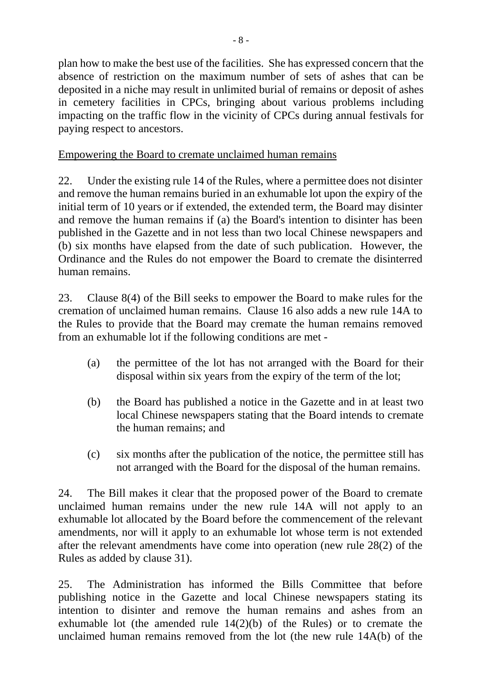plan how to make the best use of the facilities. She has expressed concern that the absence of restriction on the maximum number of sets of ashes that can be deposited in a niche may result in unlimited burial of remains or deposit of ashes in cemetery facilities in CPCs, bringing about various problems including impacting on the traffic flow in the vicinity of CPCs during annual festivals for paying respect to ancestors.

#### Empowering the Board to cremate unclaimed human remains

22. Under the existing rule 14 of the Rules, where a permittee does not disinter and remove the human remains buried in an exhumable lot upon the expiry of the initial term of 10 years or if extended, the extended term, the Board may disinter and remove the human remains if (a) the Board's intention to disinter has been published in the Gazette and in not less than two local Chinese newspapers and (b) six months have elapsed from the date of such publication. However, the Ordinance and the Rules do not empower the Board to cremate the disinterred human remains.

23. Clause 8(4) of the Bill seeks to empower the Board to make rules for the cremation of unclaimed human remains. Clause 16 also adds a new rule 14A to the Rules to provide that the Board may cremate the human remains removed from an exhumable lot if the following conditions are met -

- (a) the permittee of the lot has not arranged with the Board for their disposal within six years from the expiry of the term of the lot;
- (b) the Board has published a notice in the Gazette and in at least two local Chinese newspapers stating that the Board intends to cremate the human remains; and
- (c) six months after the publication of the notice, the permittee still has not arranged with the Board for the disposal of the human remains.

24. The Bill makes it clear that the proposed power of the Board to cremate unclaimed human remains under the new rule 14A will not apply to an exhumable lot allocated by the Board before the commencement of the relevant amendments, nor will it apply to an exhumable lot whose term is not extended after the relevant amendments have come into operation (new rule 28(2) of the Rules as added by clause 31).

25. The Administration has informed the Bills Committee that before publishing notice in the Gazette and local Chinese newspapers stating its intention to disinter and remove the human remains and ashes from an exhumable lot (the amended rule 14(2)(b) of the Rules) or to cremate the unclaimed human remains removed from the lot (the new rule 14A(b) of the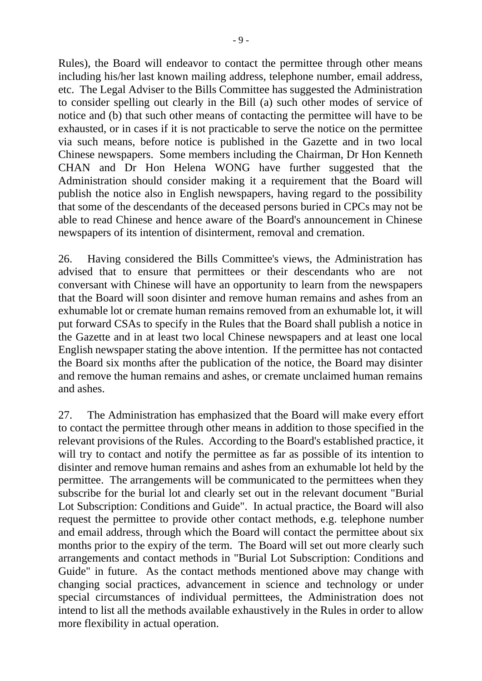Rules), the Board will endeavor to contact the permittee through other means including his/her last known mailing address, telephone number, email address, etc. The Legal Adviser to the Bills Committee has suggested the Administration to consider spelling out clearly in the Bill (a) such other modes of service of notice and (b) that such other means of contacting the permittee will have to be exhausted, or in cases if it is not practicable to serve the notice on the permittee via such means, before notice is published in the Gazette and in two local Chinese newspapers. Some members including the Chairman, Dr Hon Kenneth CHAN and Dr Hon Helena WONG have further suggested that the Administration should consider making it a requirement that the Board will publish the notice also in English newspapers, having regard to the possibility that some of the descendants of the deceased persons buried in CPCs may not be able to read Chinese and hence aware of the Board's announcement in Chinese newspapers of its intention of disinterment, removal and cremation.

26. Having considered the Bills Committee's views, the Administration has advised that to ensure that permittees or their descendants who are not conversant with Chinese will have an opportunity to learn from the newspapers that the Board will soon disinter and remove human remains and ashes from an exhumable lot or cremate human remains removed from an exhumable lot, it will put forward CSAs to specify in the Rules that the Board shall publish a notice in the Gazette and in at least two local Chinese newspapers and at least one local English newspaper stating the above intention. If the permittee has not contacted the Board six months after the publication of the notice, the Board may disinter and remove the human remains and ashes, or cremate unclaimed human remains and ashes.

27. The Administration has emphasized that the Board will make every effort to contact the permittee through other means in addition to those specified in the relevant provisions of the Rules. According to the Board's established practice, it will try to contact and notify the permittee as far as possible of its intention to disinter and remove human remains and ashes from an exhumable lot held by the permittee. The arrangements will be communicated to the permittees when they subscribe for the burial lot and clearly set out in the relevant document "Burial Lot Subscription: Conditions and Guide". In actual practice, the Board will also request the permittee to provide other contact methods, e.g. telephone number and email address, through which the Board will contact the permittee about six months prior to the expiry of the term. The Board will set out more clearly such arrangements and contact methods in "Burial Lot Subscription: Conditions and Guide" in future. As the contact methods mentioned above may change with changing social practices, advancement in science and technology or under special circumstances of individual permittees, the Administration does not intend to list all the methods available exhaustively in the Rules in order to allow more flexibility in actual operation.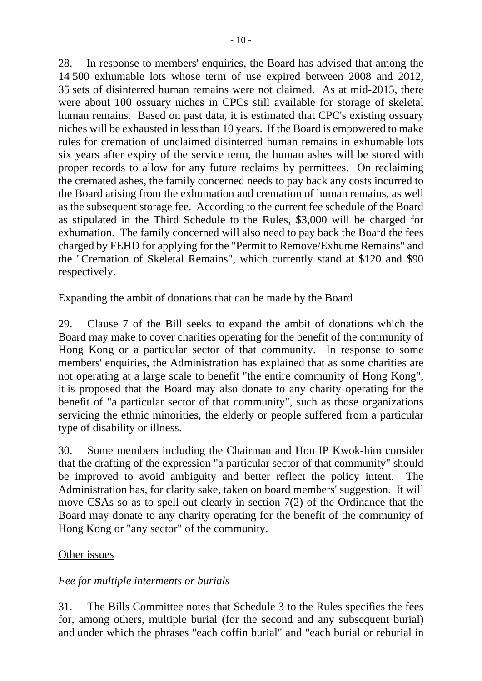28. In response to members' enquiries, the Board has advised that among the 14 500 exhumable lots whose term of use expired between 2008 and 2012, 35 sets of disinterred human remains were not claimed. As at mid-2015, there were about 100 ossuary niches in CPCs still available for storage of skeletal human remains. Based on past data, it is estimated that CPC's existing ossuary niches will be exhausted in less than 10 years. If the Board is empowered to make rules for cremation of unclaimed disinterred human remains in exhumable lots six years after expiry of the service term, the human ashes will be stored with proper records to allow for any future reclaims by permittees. On reclaiming the cremated ashes, the family concerned needs to pay back any costs incurred to the Board arising from the exhumation and cremation of human remains, as well as the subsequent storage fee. According to the current fee schedule of the Board as stipulated in the Third Schedule to the Rules, \$3,000 will be charged for exhumation. The family concerned will also need to pay back the Board the fees charged by FEHD for applying for the "Permit to Remove/Exhume Remains" and the "Cremation of Skeletal Remains", which currently stand at \$120 and \$90 respectively.

#### Expanding the ambit of donations that can be made by the Board

29. Clause 7 of the Bill seeks to expand the ambit of donations which the Board may make to cover charities operating for the benefit of the community of Hong Kong or a particular sector of that community. In response to some members' enquiries, the Administration has explained that as some charities are not operating at a large scale to benefit "the entire community of Hong Kong", it is proposed that the Board may also donate to any charity operating for the benefit of "a particular sector of that community", such as those organizations servicing the ethnic minorities, the elderly or people suffered from a particular type of disability or illness.

30. Some members including the Chairman and Hon IP Kwok-him consider that the drafting of the expression "a particular sector of that community" should be improved to avoid ambiguity and better reflect the policy intent. The Administration has, for clarity sake, taken on board members' suggestion. It will move CSAs so as to spell out clearly in section 7(2) of the Ordinance that the Board may donate to any charity operating for the benefit of the community of Hong Kong or "any sector" of the community.

#### Other issues

#### *Fee for multiple interments or burials*

31. The Bills Committee notes that Schedule 3 to the Rules specifies the fees for, among others, multiple burial (for the second and any subsequent burial) and under which the phrases "each coffin burial" and "each burial or reburial in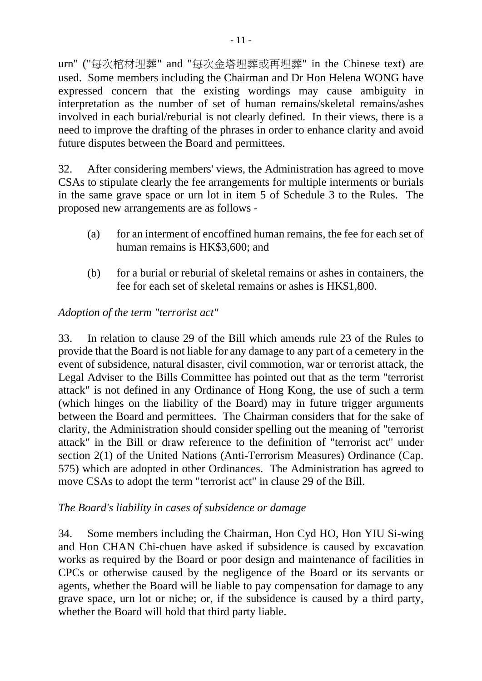urn" ("每次棺材埋葬" and "每次金塔埋葬或再埋葬" in the Chinese text) are used. Some members including the Chairman and Dr Hon Helena WONG have expressed concern that the existing wordings may cause ambiguity in interpretation as the number of set of human remains/skeletal remains/ashes involved in each burial/reburial is not clearly defined. In their views, there is a need to improve the drafting of the phrases in order to enhance clarity and avoid future disputes between the Board and permittees.

32. After considering members' views, the Administration has agreed to move CSAs to stipulate clearly the fee arrangements for multiple interments or burials in the same grave space or urn lot in item 5 of Schedule 3 to the Rules. The proposed new arrangements are as follows -

- (a) for an interment of encoffined human remains, the fee for each set of human remains is HK\$3,600; and
- (b) for a burial or reburial of skeletal remains or ashes in containers, the fee for each set of skeletal remains or ashes is HK\$1,800.

#### *Adoption of the term "terrorist act"*

33. In relation to clause 29 of the Bill which amends rule 23 of the Rules to provide that the Board is not liable for any damage to any part of a cemetery in the event of subsidence, natural disaster, civil commotion, war or terrorist attack, the Legal Adviser to the Bills Committee has pointed out that as the term "terrorist attack" is not defined in any Ordinance of Hong Kong, the use of such a term (which hinges on the liability of the Board) may in future trigger arguments between the Board and permittees. The Chairman considers that for the sake of clarity, the Administration should consider spelling out the meaning of "terrorist attack" in the Bill or draw reference to the definition of "terrorist act" under section 2(1) of the United Nations (Anti-Terrorism Measures) Ordinance (Cap. 575) which are adopted in other Ordinances. The Administration has agreed to move CSAs to adopt the term "terrorist act" in clause 29 of the Bill.

#### *The Board's liability in cases of subsidence or damage*

34. Some members including the Chairman, Hon Cyd HO, Hon YIU Si-wing and Hon CHAN Chi-chuen have asked if subsidence is caused by excavation works as required by the Board or poor design and maintenance of facilities in CPCs or otherwise caused by the negligence of the Board or its servants or agents, whether the Board will be liable to pay compensation for damage to any grave space, urn lot or niche; or, if the subsidence is caused by a third party, whether the Board will hold that third party liable.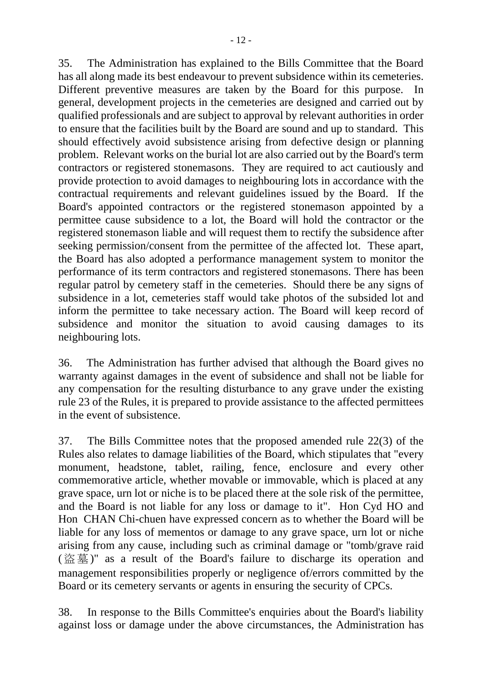35. The Administration has explained to the Bills Committee that the Board has all along made its best endeavour to prevent subsidence within its cemeteries. Different preventive measures are taken by the Board for this purpose. In general, development projects in the cemeteries are designed and carried out by qualified professionals and are subject to approval by relevant authorities in order to ensure that the facilities built by the Board are sound and up to standard. This should effectively avoid subsistence arising from defective design or planning problem. Relevant works on the burial lot are also carried out by the Board's term contractors or registered stonemasons. They are required to act cautiously and provide protection to avoid damages to neighbouring lots in accordance with the contractual requirements and relevant guidelines issued by the Board. If the Board's appointed contractors or the registered stonemason appointed by a permittee cause subsidence to a lot, the Board will hold the contractor or the registered stonemason liable and will request them to rectify the subsidence after seeking permission/consent from the permittee of the affected lot. These apart, the Board has also adopted a performance management system to monitor the performance of its term contractors and registered stonemasons. There has been regular patrol by cemetery staff in the cemeteries. Should there be any signs of subsidence in a lot, cemeteries staff would take photos of the subsided lot and inform the permittee to take necessary action. The Board will keep record of subsidence and monitor the situation to avoid causing damages to its neighbouring lots.

36. The Administration has further advised that although the Board gives no warranty against damages in the event of subsidence and shall not be liable for any compensation for the resulting disturbance to any grave under the existing rule 23 of the Rules, it is prepared to provide assistance to the affected permittees in the event of subsistence.

37. The Bills Committee notes that the proposed amended rule 22(3) of the Rules also relates to damage liabilities of the Board, which stipulates that "every monument, headstone, tablet, railing, fence, enclosure and every other commemorative article, whether movable or immovable, which is placed at any grave space, urn lot or niche is to be placed there at the sole risk of the permittee, and the Board is not liable for any loss or damage to it". Hon Cyd HO and Hon CHAN Chi-chuen have expressed concern as to whether the Board will be liable for any loss of mementos or damage to any grave space, urn lot or niche arising from any cause, including such as criminal damage or "tomb/grave raid (盜墓 )" as a result of the Board's failure to discharge its operation and management responsibilities properly or negligence of/errors committed by the Board or its cemetery servants or agents in ensuring the security of CPCs.

38. In response to the Bills Committee's enquiries about the Board's liability against loss or damage under the above circumstances, the Administration has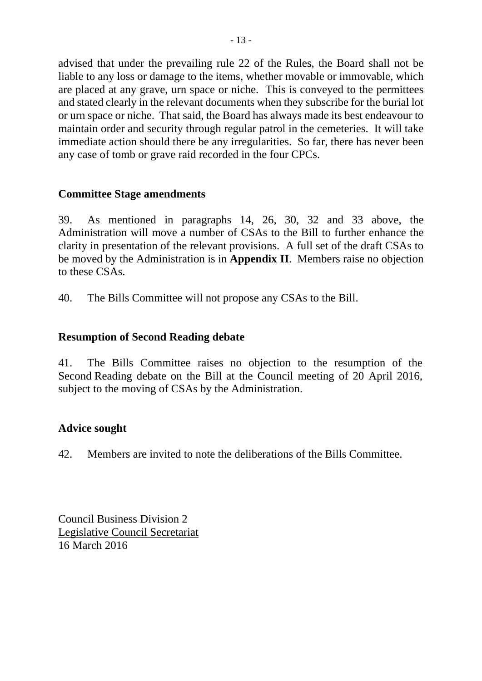advised that under the prevailing rule 22 of the Rules, the Board shall not be liable to any loss or damage to the items, whether movable or immovable, which are placed at any grave, urn space or niche. This is conveyed to the permittees and stated clearly in the relevant documents when they subscribe for the burial lot or urn space or niche. That said, the Board has always made its best endeavour to maintain order and security through regular patrol in the cemeteries. It will take immediate action should there be any irregularities. So far, there has never been any case of tomb or grave raid recorded in the four CPCs.

#### **Committee Stage amendments**

39. As mentioned in paragraphs 14, 26, 30, 32 and 33 above, the Administration will move a number of CSAs to the Bill to further enhance the clarity in presentation of the relevant provisions. A full set of the draft CSAs to be moved by the Administration is in **Appendix II**. Members raise no objection to these CSAs.

40. The Bills Committee will not propose any CSAs to the Bill.

#### **Resumption of Second Reading debate**

41. The Bills Committee raises no objection to the resumption of the Second Reading debate on the Bill at the Council meeting of 20 April 2016, subject to the moving of CSAs by the Administration.

#### **Advice sought**

42. Members are invited to note the deliberations of the Bills Committee.

Council Business Division 2 Legislative Council Secretariat 16 March 2016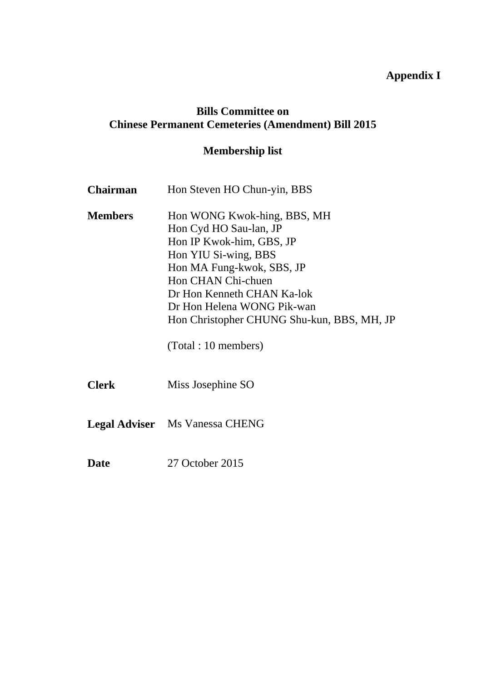### **Appendix I**

#### **Bills Committee on Chinese Permanent Cemeteries (Amendment) Bill 2015**

# **Membership list**

| <b>Chairman</b> | Hon Steven HO Chun-yin, BBS                                                                                                                                                                                                                                                                    |  |  |
|-----------------|------------------------------------------------------------------------------------------------------------------------------------------------------------------------------------------------------------------------------------------------------------------------------------------------|--|--|
| <b>Members</b>  | Hon WONG Kwok-hing, BBS, MH<br>Hon Cyd HO Sau-lan, JP<br>Hon IP Kwok-him, GBS, JP<br>Hon YIU Si-wing, BBS<br>Hon MA Fung-kwok, SBS, JP<br>Hon CHAN Chi-chuen<br>Dr Hon Kenneth CHAN Ka-lok<br>Dr Hon Helena WONG Pik-wan<br>Hon Christopher CHUNG Shu-kun, BBS, MH, JP<br>(Total : 10 members) |  |  |
| <b>Clerk</b>    | Miss Josephine SO                                                                                                                                                                                                                                                                              |  |  |
|                 | <b>Legal Adviser</b> Ms Vanessa CHENG                                                                                                                                                                                                                                                          |  |  |
| <b>Date</b>     | 27 October 2015                                                                                                                                                                                                                                                                                |  |  |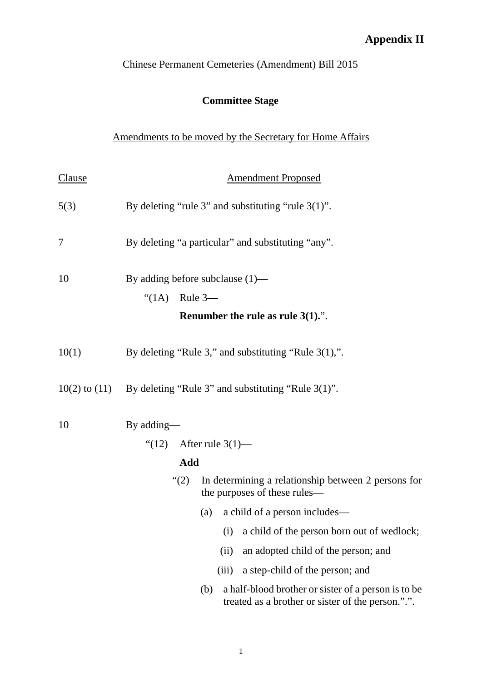## **Appendix II**

Chinese Permanent Cemeteries (Amendment) Bill 2015

## **Committee Stage**

### Amendments to be moved by the Secretary for Home Affairs

| <b>Clause</b> | <b>Amendment Proposed</b>                                                                                       |
|---------------|-----------------------------------------------------------------------------------------------------------------|
| 5(3)          | By deleting "rule 3" and substituting "rule $3(1)$ ".                                                           |
| 7             | By deleting "a particular" and substituting "any".                                                              |
| 10            | By adding before subclause $(1)$ —<br>" $(1A)$ Rule 3—<br>Renumber the rule as rule $3(1)$ .".                  |
| 10(1)         | By deleting "Rule 3," and substituting "Rule $3(1)$ ,".                                                         |
|               | $10(2)$ to $(11)$ By deleting "Rule 3" and substituting "Rule 3(1)".                                            |
| 10            | By adding—<br>" $(12)$ After rule 3(1)—<br>Add                                                                  |
|               | In determining a relationship between 2 persons for<br>(2)<br>the purposes of these rules—                      |
|               | a child of a person includes—<br>(a)                                                                            |
|               | (i) a child of the person born out of wedlock;                                                                  |
|               | an adopted child of the person; and<br>(ii)                                                                     |
|               | a step-child of the person; and<br>(iii)                                                                        |
|               | a half-blood brother or sister of a person is to be<br>(b)<br>treated as a brother or sister of the person.".". |